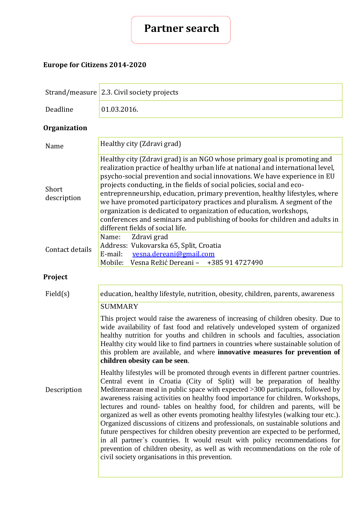

# **Europe for Citizens 2014-2020**

|                      | Strand/measure 2.3. Civil society projects                                                                                                                                                                                                                                                                                                                                                                                                                                                                                                                                                                                                                                                                                                                                                                                                                                                                 |  |
|----------------------|------------------------------------------------------------------------------------------------------------------------------------------------------------------------------------------------------------------------------------------------------------------------------------------------------------------------------------------------------------------------------------------------------------------------------------------------------------------------------------------------------------------------------------------------------------------------------------------------------------------------------------------------------------------------------------------------------------------------------------------------------------------------------------------------------------------------------------------------------------------------------------------------------------|--|
| Deadline             | 01.03.2016.                                                                                                                                                                                                                                                                                                                                                                                                                                                                                                                                                                                                                                                                                                                                                                                                                                                                                                |  |
| <b>Organization</b>  |                                                                                                                                                                                                                                                                                                                                                                                                                                                                                                                                                                                                                                                                                                                                                                                                                                                                                                            |  |
| Name                 | Healthy city (Zdravi grad)                                                                                                                                                                                                                                                                                                                                                                                                                                                                                                                                                                                                                                                                                                                                                                                                                                                                                 |  |
| Short<br>description | Healthy city (Zdravi grad) is an NGO whose primary goal is promoting and<br>realization practice of healthy urban life at national and international level,<br>psycho-social prevention and social innovations. We have experience in EU<br>projects conducting, in the fields of social policies, social and eco-<br>entreprenneurship, education, primary prevention, healthy lifestyles, where<br>we have promoted participatory practices and pluralism. A segment of the<br>organization is dedicated to organization of education, workshops,<br>conferences and seminars and publishing of books for children and adults in<br>different fields of social life.                                                                                                                                                                                                                                     |  |
| Contact details      | Name:<br>Zdravi grad<br>Address: Vukovarska 65, Split, Croatia<br>E-mail:<br>vesna.dereani@gmail.com<br>Mobile: Vesna Režić Dereani - +385 91 4727490                                                                                                                                                                                                                                                                                                                                                                                                                                                                                                                                                                                                                                                                                                                                                      |  |
| Project              |                                                                                                                                                                                                                                                                                                                                                                                                                                                                                                                                                                                                                                                                                                                                                                                                                                                                                                            |  |
| Field(s)             | education, healthy lifestyle, nutrition, obesity, children, parents, awareness                                                                                                                                                                                                                                                                                                                                                                                                                                                                                                                                                                                                                                                                                                                                                                                                                             |  |
|                      | <b>SUMMARY</b><br>This project would raise the awareness of increasing of children obesity. Due to<br>wide availability of fast food and relatively undeveloped system of organized<br>healthy nutrition for youths and children in schools and faculties, association<br>Healthy city would like to find partners in countries where sustainable solution of<br>this problem are available, and where <b>innovative measures for prevention of</b><br>children obesity can be seen.                                                                                                                                                                                                                                                                                                                                                                                                                       |  |
| Description          | Healthy lifestyles will be promoted through events in different partner countries.<br>Central event in Croatia (City of Split) will be preparation of healthy<br>Mediterranean meal in public space with expected >300 participants, followed by<br>awareness raising activities on healthy food importance for children. Workshops,<br>lectures and round- tables on healthy food, for children and parents, will be<br>organized as well as other events promoting healthy lifestyles (walking tour etc.).<br>Organized discussions of citizens and professionals, on sustainable solutions and<br>future perspectives for children obesity prevention are expected to be performed,<br>in all partner's countries. It would result with policy recommendations for<br>prevention of children obesity, as well as with recommendations on the role of<br>civil society organisations in this prevention. |  |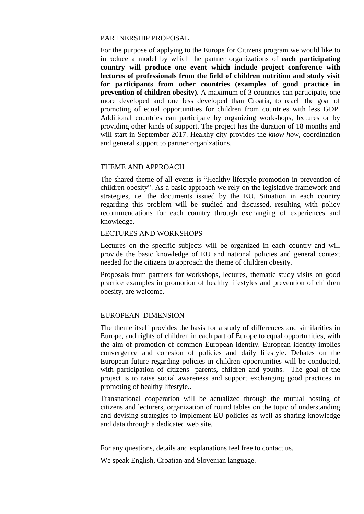#### PARTNERSHIP PROPOSAL

For the purpose of applying to the Europe for Citizens program we would like to introduce a model by which the partner organizations of **each participating country will produce one event which include project conference with lectures of professionals from the field of children nutrition and study visit for participants from other countries (examples of good practice in prevention of children obesity).** A maximum of 3 countries can participate, one more developed and one less developed than Croatia, to reach the goal of promoting of equal opportunities for children from countries with less GDP. Additional countries can participate by organizing workshops, lectures or by providing other kinds of support. The project has the duration of 18 months and will start in September 2017. Healthy city provides the *know how*, coordination and general support to partner organizations.

## THEME AND APPROACH

The shared theme of all events is "Healthy lifestyle promotion in prevention of children obesity". As a basic approach we rely on the legislative framework and strategies, i.e. the documents issued by the EU. Situation in each country regarding this problem will be studied and discussed, resulting with policy recommendations for each country through exchanging of experiences and knowledge.

#### LECTURES AND WORKSHOPS

Lectures on the specific subjects will be organized in each country and will provide the basic knowledge of EU and national policies and general context needed for the citizens to approach the theme of children obesity.

Proposals from partners for workshops, lectures, thematic study visits on good practice examples in promotion of healthy lifestyles and prevention of children obesity, are welcome.

## EUROPEAN DIMENSION

The theme itself provides the basis for a study of differences and similarities in Europe, and rights of children in each part of Europe to equal opportunities, with the aim of promotion of common European identity. European identity implies convergence and cohesion of policies and daily lifestyle. Debates on the European future regarding policies in children opportunities will be conducted, with participation of citizens- parents, children and youths. The goal of the project is to raise social awareness and support exchanging good practices in promoting of healthy lifestyle..

Transnational cooperation will be actualized through the mutual hosting of citizens and lecturers, organization of round tables on the topic of understanding and devising strategies to implement EU policies as well as sharing knowledge and data through a dedicated web site.

For any questions, details and explanations feel free to contact us.

We speak English, Croatian and Slovenian language.